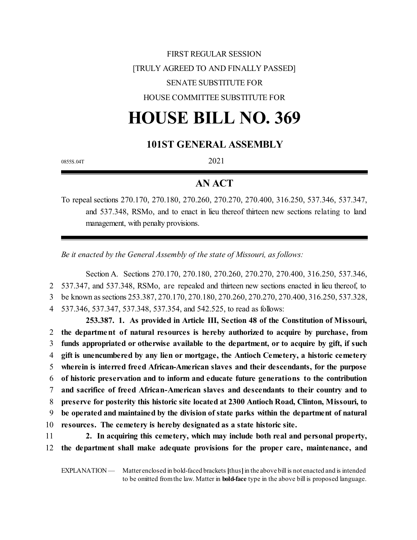# FIRST REGULAR SESSION [TRULY AGREED TO AND FINALLY PASSED] SENATE SUBSTITUTE FOR HOUSE COMMITTEE SUBSTITUTE FOR

# **HOUSE BILL NO. 369**

# **101ST GENERAL ASSEMBLY**

0855S.04T 2021

## **AN ACT**

To repeal sections 270.170, 270.180, 270.260, 270.270, 270.400, 316.250, 537.346, 537.347, and 537.348, RSMo, and to enact in lieu thereof thirteen new sections relating to land management, with penalty provisions.

*Be it enacted by the General Assembly of the state of Missouri, as follows:*

Section A. Sections 270.170, 270.180, 270.260, 270.270, 270.400, 316.250, 537.346, 537.347, and 537.348, RSMo, are repealed and thirteen new sections enacted in lieu thereof, to be known assections 253.387, 270.170, 270.180, 270.260, 270.270, 270.400, 316.250, 537.328, 537.346, 537.347, 537.348, 537.354, and 542.525, to read as follows:

**253.387. 1. As provided in Article III, Section 48 of the Constitution of Missouri, the department of natural resources is hereby authorized to acquire by purchase, from funds appropriated or otherwise available to the department, or to acquire by gift, if such gift is unencumbered by any lien or mortgage, the Antioch Cemetery, a historic cemetery wherein is interred freed African-American slaves and their descendants, for the purpose of historic preservation and to inform and educate future generations to the contribution and sacrifice of freed African-American slaves and descendants to their country and to preserve for posterity this historic site located at 2300 Antioch Road, Clinton, Missouri, to be operated and maintained by the division of state parks within the department of natural resources. The cemetery is hereby designated as a state historic site.**

11 **2. In acquiring this cemetery, which may include both real and personal property,** 12 **the department shall make adequate provisions for the proper care, maintenance, and**

EXPLANATION — Matter enclosed in bold-faced brackets [thus] in the above bill is not enacted and is intended to be omitted fromthe law. Matter in **bold-face** type in the above bill is proposed language.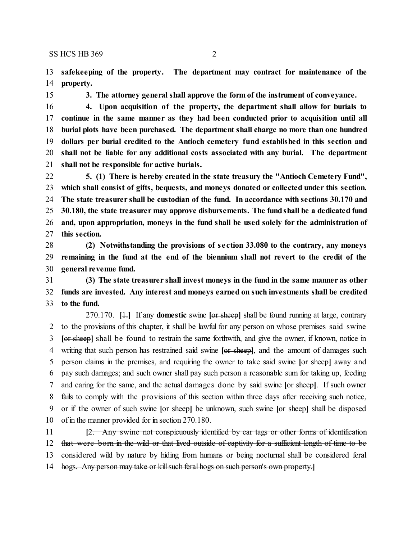**safekeeping of the property. The department may contract for maintenance of the property.**

**3. The attorney general shall approve the form of the instrument of conveyance.**

 **4. Upon acquisition of the property, the department shall allow for burials to continue in the same manner as they had been conducted prior to acquisition until all burial plots have been purchased. The department shall charge no more than one hundred dollars per burial credited to the Antioch cemetery fund established in this section and shall not be liable for any additional costs associated with any burial. The department shall not be responsible for active burials.**

 **5. (1) There is hereby created in the state treasury the "Antioch Cemetery Fund", which shall consist of gifts, bequests, and moneys donated or collected under this section. The state treasurer shall be custodian of the fund. In accordance with sections 30.170 and 30.180, the state treasurer may approve disbursements. The fundshall be a dedicated fund and, upon appropriation, moneys in the fund shall be used solely for the administration of this section.**

 **(2) Notwithstanding the provisions of se ction 33.080 to the contrary, any moneys remaining in the fund at the end of the biennium shall not revert to the credit of the general revenue fund.**

 **(3) The state treasurer shall invest moneys in the fund in the same manner as other funds are invested. Any interest and moneys earned on such investments shall be credited to the fund.**

270.170. **[**1.**]** If any **domestic** swine **[**or sheep**]** shall be found running at large, contrary to the provisions of this chapter, it shall be lawful for any person on whose premises said swine **[**or sheep**]** shall be found to restrain the same forthwith, and give the owner, if known, notice in writing that such person has restrained said swine **[**or sheep**]**, and the amount of damages such person claims in the premises, and requiring the owner to take said swine **[**or sheep**]** away and pay such damages; and such owner shall pay such person a reasonable sum for taking up, feeding and caring for the same, and the actual damages done by said swine **[**or sheep**]**. If such owner fails to comply with the provisions of this section within three days after receiving such notice, or if the owner of such swine **[**or sheep**]** be unknown, such swine **[**or sheep**]** shall be disposed of in the manner provided for in section 270.180.

 **[**2. Any swine not conspicuously identified by ear tags or other forms of identification 12 that were born in the wild or that lived outside of captivity for a sufficient length of time to be 13 considered wild by nature by hiding from humans or being nocturnal shall be considered feral hogs. Any person may take or killsuch feral hogs on such person's own property.**]**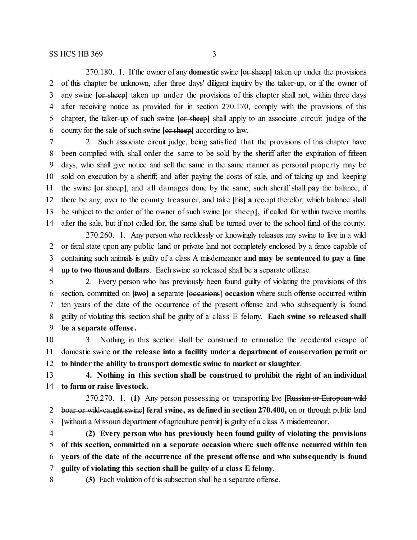270.180. 1. If the owner of any **domestic** swine **[**or sheep**]** taken up under the provisions of this chapter be unknown, after three days' diligent inquiry by the taker-up, or if the owner of any swine **[**or sheep**]** taken up under the provisions of this chapter shall not, within three days after receiving notice as provided for in section 270.170, comply with the provisions of this chapter, the taker-up of such swine **[**or sheep**]** shall apply to an associate circuit judge of the county for the sale of such swine **[**or sheep**]** according to law.

 2. Such associate circuit judge, being satisfied that the provisions of this chapter have been complied with, shall order the same to be sold by the sheriff after the expiration of fifteen days, who shall give notice and sell the same in the same manner as personal property may be sold on execution by a sheriff; and after paying the costs of sale, and of taking up and keeping the swine **[**or sheep**]**, and all damages done by the same, such sheriff shall pay the balance, if there be any, over to the county treasurer, and take **[**his**] a** receipt therefor; which balance shall be subject to the order of the owner of such swine **[**or sheep**]**, if called for within twelve months after the sale, but if not called for, the same shall be turned over to the school fund of the county.

270.260. 1. Any person who recklessly or knowingly releases any swine to live in a wild or feral state upon any public land or private land not completely enclosed by a fence capable of containing such animals is guilty of a class A misdemeanor **and may be sentenced to pay a fine up to two thousand dollars**. Each swine so released shall be a separate offense.

 2. Every person who has previously been found guilty of violating the provisions of this section, committed on **[**two**] a** separate **[**occasions**] occasion** where such offense occurred within ten years of the date of the occurrence of the present offense and who subsequently is found guilty of violating this section shall be guilty of a class E felony. **Each swine so released shall be a separate offense.**

 3. Nothing in this section shall be construed to criminalize the accidental escape of domestic swine **or the release into a facility under a department of conservation permit or to hinder the ability to transport domestic swine to market or slaughter**.

 **4. Nothing in this section shall be construed to prohibit the right of an individual to farm or raise livestock.**

270.270. 1. **(1)** Any person possessing or transporting live **[**Russian or European wild boar or wild-caught swine**] feral swine, as defined in section 270.400,** on or through public land **[**without a Missouri department of agriculture permit**]** is guilty of a class A misdemeanor.

 **(2) Every person who has previously been found guilty of violating the provisions of this section, committed on a separate occasion where such offense occurred within ten years of the date of the occurrence of the present offense and who subsequently is found guilty of violating this section shall be guilty of a class E felony.**

**(3)** Each violation of this subsection shall be a separate offense.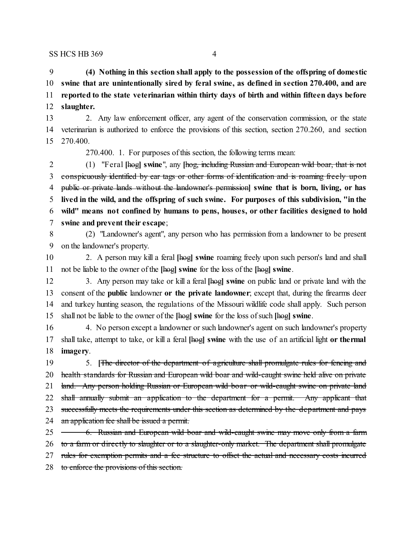**(4) Nothing in this section shall apply to the possession of the offspring of domestic swine that are unintentionally sired by feral swine, as defined in section 270.400, and are reported to the state veterinarian within thirty days of birth and within fifteen days before slaughter.**

 2. Any law enforcement officer, any agent of the conservation commission, or the state veterinarian is authorized to enforce the provisions of this section, section 270.260, and section 270.400.

270.400. 1. For purposes ofthis section, the following terms mean:

 (1) "Feral **[**hog**] swine**", any **[**hog, including Russian and European wild boar, that is not conspicuously identified by ear tags or other forms of identification and is roaming freely upon public or private lands without the landowner's permission**] swine that is born, living, or has lived in the wild, and the offspring of such swine. For purposes of this subdivision, "in the wild" means not confined by humans to pens, houses, or other facilities designed to hold swine and prevent their escape**;

 (2) "Landowner's agent", any person who has permission from a landowner to be present on the landowner's property.

 2. A person may kill a feral **[**hog**] swine** roaming freely upon such person's land and shall not be liable to the owner ofthe **[**hog**] swine** for the loss of the **[**hog**] swine**.

 3. Any person may take or kill a feral**[**hog**] swine** on public land or private land with the consent of the **public** landowner **or the private landowner**; except that, during the firearms deer and turkey hunting season, the regulations of the Missouri wildlife code shall apply. Such person shall not be liable to the owner of the **[**hog**] swine** for the loss of such **[**hog**] swine**.

 4. No person except a landowner or such landowner's agent on such landowner's property shall take, attempt to take, or kill a feral **[**hog**] swine** with the use of an artificial light **or thermal imagery**.

 5. **[**The director of the department of agriculture shall promulgate rules for fencing and 20 health standards for Russian and European wild boar and wild-caught swine held alive on private 21 land. Any person holding Russian or European wild boar or wild-caught swine on private land 22 shall annually submit an application to the department for a permit. Any applicant that 23 successfully meets the requirements under this section as determined by the department and pays an application fee shall be issued a permit. 25 <del>6. Russian and European wild boar and wild-caught swine may move only from a farm</del>

26 to a farm or directly to slaughter or to a slaughter-only market. The department shall promulgate

27 rules for exemption permits and a fee structure to offset the actual and necessary costs incurred

to enforce the provisions of this section.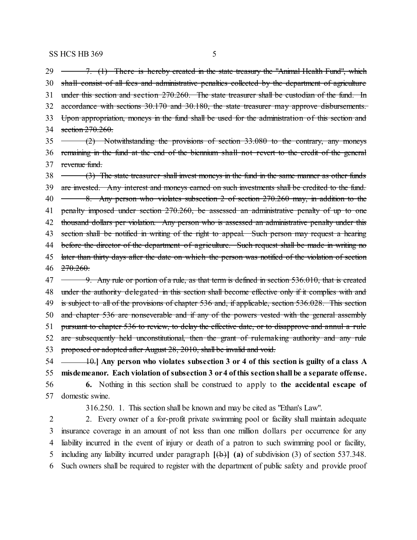29 <del>7. (1) There is hereby created in the state treasury the "Animal Health Fund", which</del> 30 shall consist of all fees and administrative penalties collected by the department of agriculture 31 under this section and section 270.260. The state treasurer shall be custodian of the fund. In 32 accordance with sections 30.170 and 30.180, the state treasurer may approve disbursements. 33 Upon appropriation, moneys in the fund shall be used for the administration of this section and 34 section 270.260.

- 35 (2) Notwithstanding the provisions of section 33.080 to the contrary, any moneys 36 remaining in the fund at the end of the biennium shall not revert to the credit of the general 37 revenue fund.
- $38 \leftarrow$  (3) The state treasurer shall invest moneys in the fund in the same manner as other funds 39 are invested. Any interest and moneys carned on such investments shall be credited to the fund. 40 <del>8. Any person who violates subsection 2 of section 270.260 may, in addition to the</del> 41 penalty imposed under section 270.260, be assessed an administrative penalty of up to one 42 thousand dollars per violation. Any person who is assessed an administrative penalty under this 43 section shall be notified in writing of the right to appeal. Such person may request a hearing 44 before the director of the department of agriculture. Such request shall be made in writing no 45 later than thirty days after the date on which the person was notified of the violation of section 46 270.260.
- 47 <del>9. Any rule or portion of a rule, as that term is defined in section 536.010, that is created</del> 48 under the authority delegated in this section shall become effective only if it complies with and 49 is subject to all of the provisions of chapter 536 and, if applicable, section 536.028. This section 50 and chapter 536 are nonseverable and if any of the powers vested with the general assembly 51 pursuant to chapter 536 to review, to delay the effective date, or to disapprove and annul a rule 52 are subsequently held unconstitutional, then the grant of rulemaking authority and any rule 53 proposed or adopted after August 28, 2010, shall be invalid and void.
- 54 10.**] Any person who violates subsection 3 or 4 of this section is guilty of a class A** 55 **misdemeanor. Each violation of subsection 3 or4 ofthis sectionshall be a separate offense.** 56 **6.** Nothing in this section shall be construed to apply to **the accidental escape of** 57 domestic swine.
- 

316.250. 1. This section shall be known and may be cited as "Ethan's Law".

 2. Every owner of a for-profit private swimming pool or facility shall maintain adequate insurance coverage in an amount of not less than one million dollars per occurrence for any liability incurred in the event of injury or death of a patron to such swimming pool or facility, including any liability incurred under paragraph **[**(b)**] (a)** of subdivision (3) of section 537.348. Such owners shall be required to register with the department of public safety and provide proof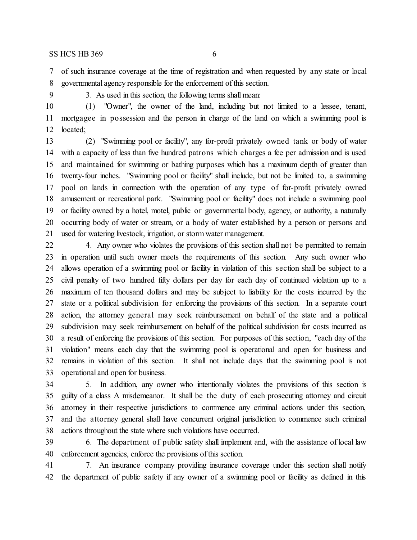of such insurance coverage at the time of registration and when requested by any state or local governmental agency responsible for the enforcement of this section.

3. As used in this section, the following terms shall mean:

 (1) "Owner", the owner of the land, including but not limited to a lessee, tenant, mortgagee in possession and the person in charge of the land on which a swimming pool is located;

 (2) "Swimming pool or facility", any for-profit privately owned tank or body of water with a capacity of less than five hundred patrons which charges a fee per admission and is used and maintained for swimming or bathing purposes which has a maximum depth of greater than twenty-four inches. "Swimming pool or facility" shall include, but not be limited to, a swimming pool on lands in connection with the operation of any type of for-profit privately owned amusement or recreational park. "Swimming pool or facility" does not include a swimming pool or facility owned by a hotel, motel, public or governmental body, agency, or authority, a naturally occurring body of water or stream, or a body of water established by a person or persons and used for watering livestock, irrigation, or storm water management.

 4. Any owner who violates the provisions of this section shall not be permitted to remain in operation until such owner meets the requirements of this section. Any such owner who allows operation of a swimming pool or facility in violation of this section shall be subject to a civil penalty of two hundred fifty dollars per day for each day of continued violation up to a maximum of ten thousand dollars and may be subject to liability for the costs incurred by the state or a political subdivision for enforcing the provisions of this section. In a separate court action, the attorney general may seek reimbursement on behalf of the state and a political subdivision may seek reimbursement on behalf of the political subdivision for costs incurred as a result of enforcing the provisions of this section. For purposes of this section, "each day of the violation" means each day that the swimming pool is operational and open for business and remains in violation of this section. It shall not include days that the swimming pool is not operational and open for business.

 5. In addition, any owner who intentionally violates the provisions of this section is guilty of a class A misdemeanor. It shall be the duty of each prosecuting attorney and circuit attorney in their respective jurisdictions to commence any criminal actions under this section, and the attorney general shall have concurrent original jurisdiction to commence such criminal actions throughout the state where such violations have occurred.

 6. The department of public safety shall implement and, with the assistance of local law enforcement agencies, enforce the provisions of this section.

 7. An insurance company providing insurance coverage under this section shall notify the department of public safety if any owner of a swimming pool or facility as defined in this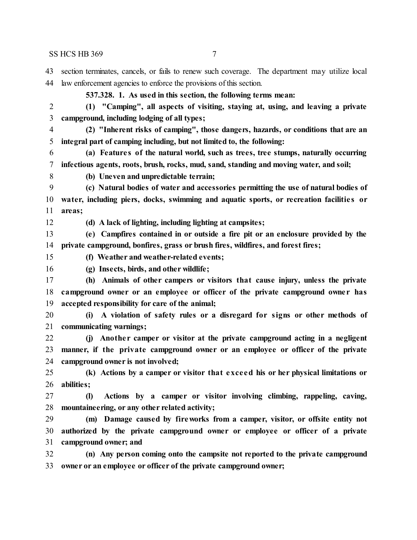section terminates, cancels, or fails to renew such coverage. The department may utilize local law enforcement agencies to enforce the provisions of this section.

**537.328. 1. As used in this section, the following terms mean:**

 **(1) "Camping", all aspects of visiting, staying at, using, and leaving a private campground, including lodging of all types;**

 **(2) "Inherent risks of camping", those dangers, hazards, or conditions that are an integral part of camping including, but not limited to, the following:**

 **(a) Feature s of the natural world, such as trees, tree stumps, naturally occurring infectious agents, roots, brush, rocks, mud, sand, standing and moving water, and soil;**

**(b) Uneven and unpredictable terrain;**

 **(c) Natural bodies of water and accessories permitting the use of natural bodies of water, including piers, docks, swimming and aquatic sports, or recreation facilitie s or areas;**

**(d) A lack of lighting, including lighting at campsites;**

 **(e) Campfires contained in or outside a fire pit or an enclosure provided by the private campground, bonfires, grass or brush fires, wildfires, and forest fires;**

**(f) Weather and weather-related events;**

**(g) Insects, birds, and other wildlife;**

 **(h) Animals of other campers or visitors that cause injury, unless the private campground owner or an employee or officer of the private campground owne r has accepted responsibility for care of the animal;**

 **(i) A violation of safety rules or a disregard for signs or other methods of communicating warnings;**

 **(j) Anothe r camper or visitor at the private campground acting in a negligent manner, if the private campground owner or an employee or officer of the private campground owner is not involved;**

 **(k) Actions by a camper or visitor that exce ed his or her physical limitations or abilities;**

 **(l) Actions by a camper or visitor involving climbing, rappeling, caving, mountaineering, or any other related activity;**

 **(m) Damage caused by fireworks from a camper, visitor, or offsite entity not authorized by the private campground owner or employee or officer of a private campground owner; and**

 **(n) Any person coming onto the campsite not reported to the private campground owner or an employee or officer of the private campground owner;**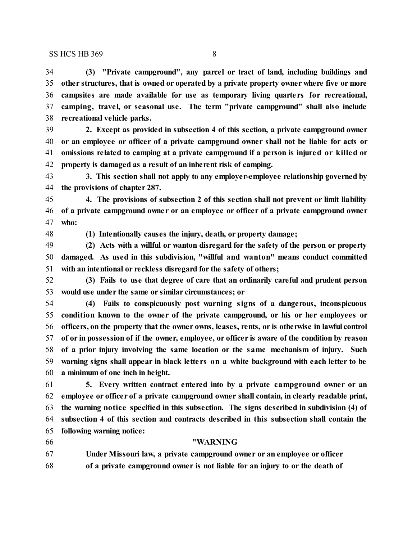**(3) "Private campground", any parcel or tract of land, including buildings and other structures, that is owned or operated by a private property owner where five or more campsites are made available for use as temporary living quarte rs for recreational, camping, travel, or seasonal use. The term "private campground" shall also include recreational vehicle parks.**

 **2. Except as provided in subsection 4 of this section, a private campground owner or an employee or officer of a private campground owner shall not be liable for acts or omissions related to camping at a private campground if a person is injured or killed or property is damaged as a result of an inherent risk of camping.**

 **3. This section shall not apply to any employer-employee relationship governed by the provisions of chapter 287.**

 **4. The provisions of subsection 2 of this section shall not prevent or limit liability of a private campground owne r or an employee or officer of a private campground owner who:**

**(1) Intentionally causes the injury, death, or property damage;**

 **(2) Acts with a willful or wanton disregard for the safety of the person or property damaged. As used in this subdivision, "willful and wanton" means conduct committed with an intentional or reckless disregard for the safety of others;**

 **(3) Fails to use that degree of care that an ordinarily careful and prudent person would use under the same or similar circumstances; or**

 **(4) Fails to conspicuously post warning signs of a dangerous, inconspicuous condition known to the owner of the private campground, or his or her employees or officers, on the property that the owner owns, leases, rents, or is otherwise in lawful control of or in possession of if the owner, employee, or officer is aware of the condition by reason of a prior injury involving the same location or the same mechanism of injury. Such warning signs shall appear in black lette rs on a white background with each letter to be a minimum of one inch in height.**

 **5. Every written contract entered into by a private campground owner or an employee or officer of a private campground owner shall contain, in clearly readable print, the warning notice specified in this subsection. The signs described in subdivision (4) of subsection 4 of this section and contracts described in this subsection shall contain the following warning notice:**

#### **"WARNING**

 **Under Missouri law, a private campground owner or an employee or officer of a private campground owner is not liable for an injury to or the death of**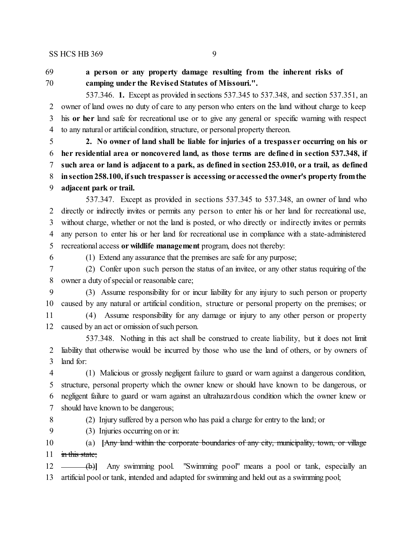### **a person or any property damage resulting from the inherent risks of camping under the Revised Statutes of Missouri.".**

537.346. **1.** Except as provided in sections 537.345 to 537.348, and section 537.351, an owner of land owes no duty of care to any person who enters on the land without charge to keep his **or her** land safe for recreational use or to give any general or specific warning with respect to any natural or artificial condition, structure, or personal property thereon.

 **2. No owner of land shall be liable for injuries of a trespasser occurring on his or her residential area or noncovered land, as those terms are defined in section 537.348, if such area or land is adjacent to a park, as defined in section 253.010, or a trail, as defined insection258.100, ifsuch trespasser is accessing oraccessedthe owner's property fromthe adjacent park or trail.**

537.347. Except as provided in sections 537.345 to 537.348, an owner of land who directly or indirectly invites or permits any person to enter his or her land for recreational use, without charge, whether or not the land is posted, or who directly or indirectly invites or permits any person to enter his or her land for recreational use in compliance with a state-administered recreational access **or wildlife management** program, does not thereby:

(1) Extend any assurance that the premises are safe for any purpose;

 (2) Confer upon such person the status of an invitee, or any other status requiring of the owner a duty of special or reasonable care;

 (3) Assume responsibility for or incur liability for any injury to such person or property caused by any natural or artificial condition, structure or personal property on the premises; or

 (4) Assume responsibility for any damage or injury to any other person or property 12 caused by an act or omission of such person.

537.348. Nothing in this act shall be construed to create liability, but it does not limit liability that otherwise would be incurred by those who use the land of others, or by owners of land for:

 (1) Malicious or grossly negligent failure to guard or warn against a dangerous condition, structure, personal property which the owner knew or should have known to be dangerous, or negligent failure to guard or warn against an ultrahazardous condition which the owner knew or should have known to be dangerous;

(2) Injury suffered by a person who has paid a charge for entry to the land; or

(3) Injuries occurring on or in:

 (a) **[**Any land within the corporate boundaries of any city, municipality, town, or village 11 in this state;

 (b)**]** Any swimming pool. "Swimming pool" means a pool or tank, especially an artificial pool or tank, intended and adapted for swimming and held out as a swimming pool;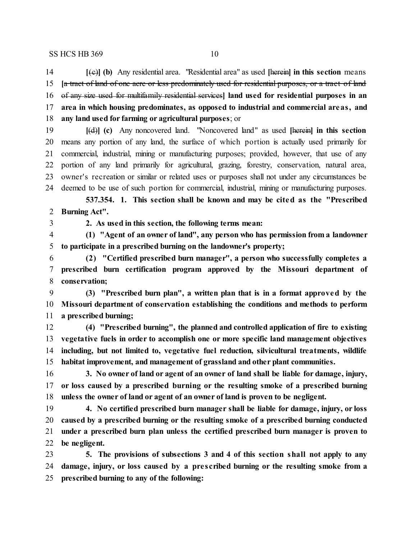**[**(c)**] (b)** Any residential area. "Residential area" as used **[**herein**] in this section** means **[**a tract of land of one acre or less predominately used for residential purposes, or a tract of land of any size used for multifamily residential services**] land used for residential purposes in an area in which housing predominates, as opposed to industrial and commercial areas, and any land used for farming or agricultural purposes**; or

 **[**(d)**] (c)** Any noncovered land. "Noncovered land" as used **[**herein**] in this section** means any portion of any land, the surface of which portion is actually used primarily for commercial, industrial, mining or manufacturing purposes; provided, however, that use of any portion of any land primarily for agricultural, grazing, forestry, conservation, natural area, owner's recreation or similar or related uses or purposes shall not under any circumstances be deemed to be use of such portion for commercial, industrial, mining or manufacturing purposes.

**537.354. 1. This section shall be known and may be cited as the "Prescribed Burning Act".**

**2. As used in this section, the following terms mean:**

 **(1) "Agent of an owner of land", any person who has permission from a landowner to participate in a prescribed burning on the landowner's property;**

 **(2) "Certified prescribed burn manager", a person who successfully completes a prescribed burn certification program approved by the Missouri department of conservation;**

 **(3) "Prescribed burn plan", a written plan that is in a format approved by the Missouri department of conservation establishing the conditions and methods to perform a prescribed burning;**

 **(4) "Prescribed burning", the planned and controlled application of fire to existing vegetative fuels in order to accomplish one or more specific land management objectives including, but not limited to, vegetative fuel reduction, silvicultural treatments, wildlife habitat improvement, and management of grassland and other plant communities.**

 **3. No owner of land or agent of an owner of land shall be liable for damage, injury, or loss caused by a prescribed burning or the resulting smoke of a prescribed burning unless the owner of land or agent of an owner of land is proven to be negligent.**

 **4. No certified prescribed burn manager shall be liable for damage, injury, or loss caused by a prescribed burning or the resulting smoke of a prescribed burning conducted under a prescribed burn plan unless the certified prescribed burn manager is proven to be negligent.**

 **5. The provisions of subsections 3 and 4 of this section shall not apply to any damage, injury, or loss caused by a pre scribed burning or the resulting smoke from a prescribed burning to any of the following:**